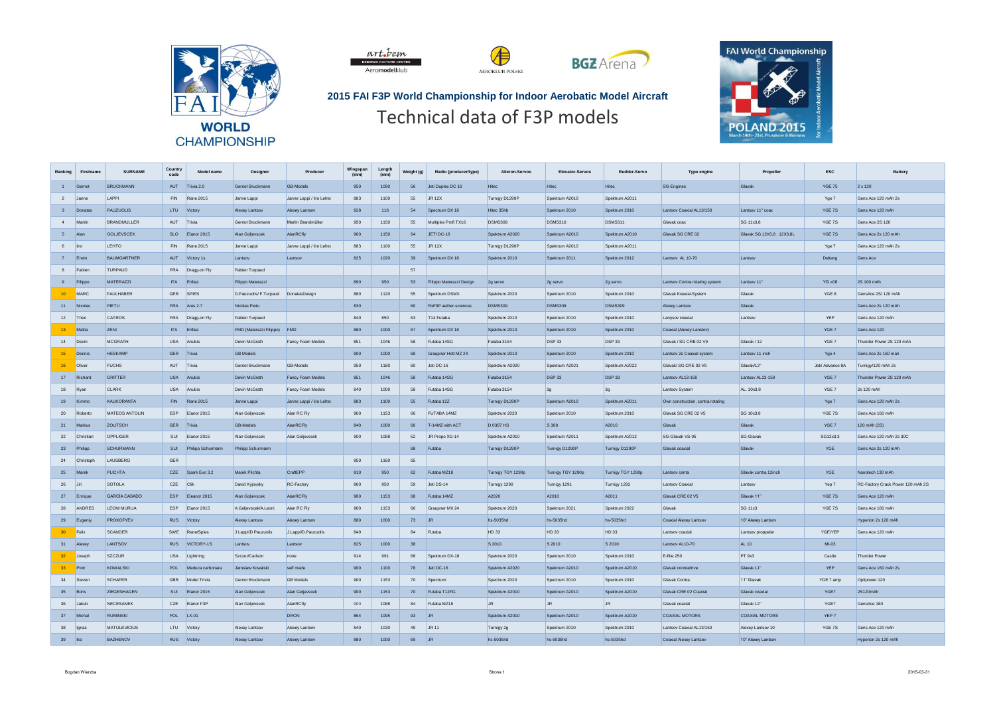





## **2015 FAI F3P World Championship for Indoor Aerobatic Model Aircraft** Technical data of F3P models

Æ

AEROKLUB POLSKI



| Ranking         | Firstname    | <b>SURNAME</b>      | Country<br>code | Model name           | <b>Designer</b>             | Producer                 | Wingspan<br>(mm) | Length<br>(mm) | Weight (g) | Radio (producer/type)    | Aileron-Servos    | <b>Elevator-Servos</b> | Rudder-Servo      | <b>Type engine</b>                | Propeller                 | <b>ESC</b>       | <b>Battery</b>                    |
|-----------------|--------------|---------------------|-----------------|----------------------|-----------------------------|--------------------------|------------------|----------------|------------|--------------------------|-------------------|------------------------|-------------------|-----------------------------------|---------------------------|------------------|-----------------------------------|
|                 | 1 Gernot     | <b>BRUCKMANN</b>    |                 | AUT Trivia 2.0       | Gernot Bruckmann            | <b>GB-Models</b>         | 950              | 1090           | 56         | Jeti Duplex DC 16        | <b>Hitec</b>      | <b>Hitec</b>           | Hitec             | <b>SG-Engines</b>                 | Glavak                    | <b>YGE 75</b>    | $2 \times 120$                    |
|                 | 2 Janne      | I APPI              | <b>FIN</b>      | <b>Rane 2015</b>     | Janne Lappi                 | Janne Lappi / liro Lehto | 883              | 1100           | 55         | <b>JR 12X</b>            | Turnigy D1290P    | Spektrum A2010         | Spektrum A2011    |                                   |                           | Yge 7            | Gens Ace 120 mAh 2s               |
|                 | 3 Donatas    | <b>PAUZUOLIS</b>    |                 | LTU Victory          | Alexey Lantsov              | Alexey Lantsov           | 928              | 116            | 54         | Spectrum DX 18           | Hitec 35hh        | Spektrum 2010          | Spektrum 2010     | Lantsov Coaxial AL13/150          | Lantsov 11" coax          | YGE 7S           | Gens Ace 120 mAh                  |
| 4 Marti         |              | <b>BRANDMULLER</b>  | AUT             | Trivia               | Gernot Bruckmann            | Martin Brandmüller       | 950              | 1150           | 55         | Multiplex Profi TX16     | <b>DSMS309</b>    | <b>DSMS310</b>         | DSMS311           | Glavak coa                        | SG 11x3.8                 | YGE 7S           | Gens Ace 2S 120                   |
| 5 Alan          |              | <b>GOLJEVSCEK</b>   |                 | SLO Elanor 2015      | Alan Goljevscek             | AlanRCfly                | 900              | 1150           | 64         | JETI DC-16               | Spektrum A2020    | Spektrum A2010         | Spektrum A2010    | Glavak SG CRE 02                  | Glavak SG 12X3,8, 12X3,8L | YGE 7S           | Gens Ace 2s 120 mAh               |
| 6 liro          |              | <b>I FHTO</b>       |                 | FIN Rane 2015        | Janne Lappi                 | Janne Lappi / liro Lehto | 883              | 1100           | 55         | JR 12X                   | Turnigy D1290P    | Spektrum A2010         | Spektrum A2011    |                                   |                           | Yge 7            | Gens Ace 120 mAh 2s               |
| 7 Erwin         |              | <b>BAUMGARTNER</b>  |                 | AUT Victory 1s       | Lantsov                     | Lantsov                  | 825              | 1020           | 39         | Spektrum DX 18           | Spektrum 2010     | Spektrum 2011          | Spektrum 2012     | Lantsov AL 10-70                  | Lantsov                   | Deltang          | Gens Ace                          |
|                 | 8 Fabien     | TURPAUD             |                 | FRA Dragg-on Fly     | Fabien Turpaud              |                          |                  |                | 57         |                          |                   |                        |                   |                                   |                           |                  |                                   |
| 9               | Filippo      | MATERAZZI           | <b>ITA</b>      | Enfasi               | Filippo Materazzi           |                          | 890              | 950            | 53         | Filippo Materazzi Design | 2g servo          | 2g servo               | 2g servo          | Lantsov Contra rotating system    | Lantsov 11"               | <b>YG</b> »08    | 2S 100 mAh                        |
| 10 <sup>°</sup> | MARC         | <b>FAULHABER</b>    | GER             | <b>SPIES</b>         | D.Pauzuolis/ F.Turpaud      | DonatasDesign            | 880              | 1120           | 55         | Snektrum DSMX            | Snektrum 2020     | Snektrum 2010          | Snektrum 2010     | Glavak Koaxial-System             | Glavak                    | YGE 8            | GensAce 2S/120 mAh                |
|                 | 11 Nicolas   | PIETU               |                 | FRA Ares 2.7         | Nicolas Pietu               |                          | 830              |                | 60         | RxF3P aether-sciences    | <b>DSMS309</b>    | <b>DSMS309</b>         | <b>DSMS309</b>    | Alexey Lantsov                    | Glavak                    |                  | Gens Ace 2s 120 mAh               |
| 12 Theo         |              | <b>CATROS</b>       |                 | FRA Dragg-on Fly     | Fabien Turnaud              |                          | 840              | 850            | 63         | T14 Futaba               | Snektrum 2010     | Snektrum 2010          | Snektrum 2010     | I anysov coaxial                  | I antsoy                  | YEP              | Gens Ace 120 mAh                  |
| $13 -$          | Mattia       | ZENI                | ITA Enfasi      |                      | FMD (Materazzi Filippo) FMD |                          | 880              | 1000           | 67         | Spektrum DX 18           | Spektrum 2010     | Spektrum 2010          | Spektrum 2010     | Coaxial (Alexey Lanstov)          |                           | YGE 7            | Gens Ace 120                      |
| 14 Devin        |              | <b>MCGRATH</b>      | <b>USA</b>      | Anubis               | Devin McGrath               | Fancy Foam Models        | 851              | 1046           | 58         | Futaba 14SG              | Futaba 3154       | <b>DSP33</b>           | <b>DSP33</b>      | Glavak / SG CRE 02 V9             | Glavak / 12               | YGE 7            | Thunder Power 2S 120 mAh          |
| $15-15$         | Dennis       | <b>HESKAMP</b>      | GER Trivia      |                      | <b>GB Models</b>            |                          | 900              | 1000           | 68         | Graupper Hott MZ 24      | Snektrum 2010     | Snektrum 2010          | Snektrum 2010     | Lantsoy 2s Coaxial system         | Lantsoy 11 inch           | Yge 4            | Gens Ace 2s 160 mah               |
| 16              | Oliver       | <b>FUCHS</b>        | AUT             | Trivia               | Gernot Bruckmann            | <b>GB-Models</b>         | 950              | 1180           | 60         | Jeti DC-16               | Spektrum A2020    | Spektrum A2021         | Spektrum A2022    | Glavak/ SG CRE 02 V9              | Glavak/12"                | Jeti/ Advance 8A | Turnigy/120 mAh 2s                |
|                 | 17 Richard   | <b>GRITTER</b>      |                 | USA Anubis           | Devin McGrath               | Fancy Foam Models        | 851              | 1046           | 58         | Futaba 14SG              | Futaba 3154       | <b>DSP33</b>           | <b>DSP 33</b>     | Lantsov AL13-150                  | Lantsov AL13-150          | YGE 7            | Thunder Power 2S 120 mAh          |
| 18 Ryan         |              | <b>CLARK</b>        | <b>USA</b>      | Anubis               | Devin McGrath               | Fancy Foam Models        | 840              | 1000           | 58         | Futaba 14SG              | Futaba 3154       | 3g                     | 3g                | Lantsov System                    | AL. 10x3.8                | YGE 7            | 2s 120 mAh                        |
|                 | 19 Kimmo     | <b>KAUKORANTA</b>   | <b>FIN</b>      | <b>Rane 2015</b>     | Janne Lappi                 | Janne Lappi / liro Lehto | 883              | 1100           | 55         | Futaba 12Z               | Turnigy D1290P    | Spektrum A2010         | Spektrum A2011    | Own construction, contra rotating |                           | Yge 7            | Gens Ace 120 mAh 2s               |
| 20              | Roberto      | MATEOS ANTOLIN      |                 | FSP Flanor 2015      | Alan Goljevscek             | Alan RC Fly              | 900              | 1153           | 66         | FUTABA 14M7              | Spektrum 2020     | Spektrum 2010          | Spektrum 2010     | Glavak SG CRE 02 V5               | SG 10x3.8                 | YGE 7S           | Gens Ace 160 mAh                  |
|                 | 21 Markus    | <b>ZOLITSCH</b>     | GER Trivia      |                      | <b>GB-Models</b>            | AlanRCFlv                | 840              | 1000           | 66         | T-14MZ with ACT          | D 0307 HS         | S 308                  | A2010             | Glavak                            | Glavak                    | YGE 7            | 120 mAh (2S)                      |
|                 | 22 Christian | OPPLIGER            | SIII            | Elanor 2015          | Alan Golievscek             | Alan Golievscek          | 900              | 1088           | 52         | JR Propo XG-14           | Spektrum A2010    | Spektrum A2011         | Spektrum A2012    | SG-Glavak VS-05                   | SG-Glavak                 | SG12x3.3         | Gens Ace 120 mAh 2s 30C           |
|                 | 23 Philipp   | <b>SCHURMANN</b>    | SUI             | Philipp Schurmann    | Philipp Schurmann           |                          |                  |                | 68         | Futaba                   | Turnigy D1290P    | Turnigy D1290P         | Turnigy D1290P    | Glavak coaxial                    | Glavak                    | YGE              | Gens Ace 2s 120 mAh               |
|                 | 24 Christoph | LAUSBERG            | <b>GER</b>      |                      |                             |                          | 950              | 1160           | 65         |                          |                   |                        |                   |                                   |                           |                  |                                   |
| 25 Marel        |              | <b>PLICHTA</b>      |                 | CZE Spark Evo 3.2    | Marek Plichta               | CraftEPP                 | 910              | 950            | 62         | Futaba MZ18              | Turnigy TGY 1290p | Turnigy TGY 1290p      | Turnigy TGY 1290p | Lantsov conta                     | Glavak contra 12inch      | <b>YGE</b>       | Nanotech 130 mAh                  |
| 26 Jiri         |              | <b>SOTOLA</b>       | CZE             | Clik                 | David Kyjovsky              | RC-Factory               | 860              | 950            | 59         | Jeti DS-14               | Turnigy 1290      | Turnigy 1291           | Turnigy 1292      | Lantsov Coaxial                   | Lantsov                   | Yep 7            | RC-Factory Crack Power 120 mAh 2S |
|                 | 27 Enrique   | GARCÍA CASADO       |                 | ESP Fleanor 2015     | Alan Golievscek             | AlanRCFly                | 900              | 1153           | 68         | Futaba 14MZ              | A2020             | A2010                  | A2011             | Glavak CRE 02 V5                  | Glavak 11'                | YGE 7S           | Gens Ace 120 mAh                  |
| 28              | ANDRES       | <b>LEONI MURUA</b>  | <b>FSP</b>      | Elanor 2015          | A.Goljevscek/A.Leoni        | Alan RC Fly              | 900              | 1153           | 66         | Graupner MX 24           | Spektrum 2020     | Spektrum 2021          | Spektrum 2022     | Glavak                            | SG 11x3                   | YGE 7S           | Gens Ace 160 mAh                  |
|                 | 29 Evgeniv   | <b>PROKOFYEV</b>    | RUS Victory     |                      | Alexey Lantsoy              | Alexey Lantsoy           | 880              | 1000           | 73         | $\overline{R}$           | hs-5035hd         | hs-5035hd              | hs-5035hd         | Coaxial Alexey Lantsoy            | 10" Alexey Lantsov        |                  | Hynerion 2s 120 mAh               |
| 30 <sub>2</sub> | Felix        | <b>SCANDER</b>      | SWE             | Rane/Spies           | J Lappi/D Pauzuolis         | J.Lappi/D.Pauzuolis      | 840              |                | 84         | Futaba                   | HD 33             | HD 33                  | HD 33             | Lantsov coaxial                   | Lantsov proppeler         | YGE/YEP          | Gens Ace 120 mAh                  |
| 31 Alexey       |              | LANTSOV             |                 | RUS VICTORY-1S       | Lantsov                     | Lantsov                  | 825              | 1000           | 38         |                          | S 2010            | S 2010                 | S 2010            | Lantsov AL10-70                   | <b>AL 10</b>              | $MI-03$          |                                   |
| 32 <sub>1</sub> | Joseph       | SZCZUR.             | <b>USA</b>      | Lightning            | Szczur/Carlson              | none                     | 914              | 991            | 68         | Spektrum DX-18           | Spektrum 2020     | Spektrum 2010          | Spektrum 2010     | F-flite 250                       | PT 9x3                    | Castle           | <b>Thunder Power</b>              |
| 33 <sup>°</sup> | Piotr        | <b>KOWALSKI</b>     |                 | POL Meduza carbonara | Jaroslaw Kowalski           | self made                | 900              | 1100           | 78         | Jeti DC-16               | Spektrum A2020    | Spektrum A2010         | Spektrum A2010    | Glavak contradrive                | Glavak 11"                | YEP              | Gens Ace 160 mAh 2s               |
|                 | 34 Steven    | <b>SCHAFER</b>      | GBR             | Model Trivia         | Gernot Bruckmann            | <b>GB</b> Models         | 900              | 1153           | 70         | Spectrum                 | Spectrum 2020     | Spectrum 2010          | Spectrum 2010     | Glavak Contra                     | 11" Glavak                | YGE 7 amp        | Optipower 120                     |
| 35 Boris        |              | <b>ZIEGENHAGEN</b>  |                 | SUI Elanor 2015      | Alan Goljevscek             | Alan Goljevscek          | 900              | 1153           | 70         | Futaba T12FG             | Spektrum A2010    | Spektrum A2010         | Spektrum A2010    | Glavak CRE 02 Coaxial             | Glavak coaxial            | YGE7             | 2S120mAh                          |
|                 | 36 Jakub     | NECESANEK           |                 | CZE Elanor F3P       | Alan Goljevscek             | AlanRCfly                | 900              | 1088           | 84         | Futaba MZ18              | JR                | JR                     | $\overline{R}$    | Glavak coaxial                    | Glavak 12"                | YGE7             | GensAce 180                       |
|                 | 37 Michal    | <b>RUMINSKI</b>     | POL LX-01       |                      |                             | <b>DRON</b>              | 864              | 1095           | 93         | $J_{\rm R}$              | Spektrum A2010    | Spektrum A2010         | Spektrum A2010    | COAXIAL MOTORS                    | <b>COAXIAL MOTORS</b>     | YEP 7            |                                   |
| 38 Ignas        |              | <b>MATULEVICIUS</b> | LTU             | Victory              | Alexey Lantsov              | Alexey Lantsov           | 840              | 1030           | 49         | JR 11                    | Turnigy 2g        | Spektrum 2010          | Spektrum 2010     | Lantsov Coaxial AL13/150          | Alexey Lantsov 10         | YGE 7S           | Gens Ace 120 mAh                  |
| 39 <b>Ilia</b>  |              | <b>BAZHENOV</b>     | <b>RUS</b>      | Victory              | Alexey Lantsoy              | Alexey Lantsoy           | 880              | 1000           | 69         | $ .$ IR                  | hs-5035hd         | hs-5035hd              | hs-5035hd         | Coaxial Alexey Lantsoy            | 10" Alexey Lantsov        |                  | Hynerion 2s 120 mAh               |